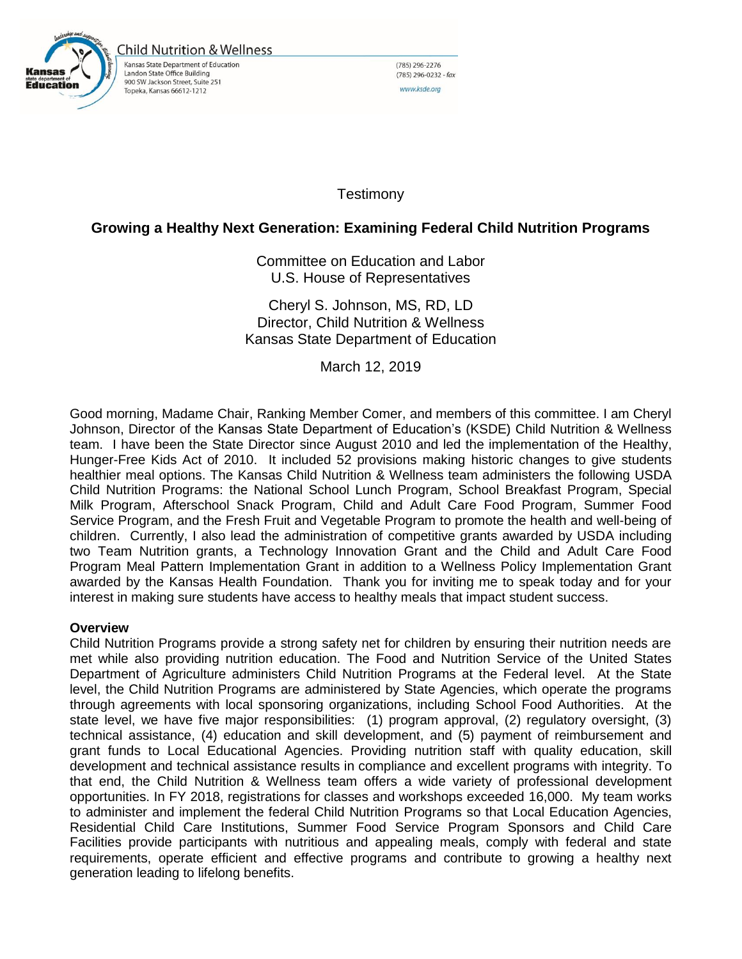

**Child Nutrition & Wellness** Kansas State Department of Education Landon State Office Building 900 SW Jackson Street, Suite 251 Topeka, Kansas 66612-1212

 $(785) 296 - 2276$ (785) 296-0232 - fax www.ksde.org

**Testimony** 

# **Growing a Healthy Next Generation: Examining Federal Child Nutrition Programs**

Committee on Education and Labor U.S. House of Representatives

Cheryl S. Johnson, MS, RD, LD Director, Child Nutrition & Wellness Kansas State Department of Education

March 12, 2019

Good morning, Madame Chair, Ranking Member Comer, and members of this committee. I am Cheryl Johnson, Director of the Kansas State Department of Education's (KSDE) Child Nutrition & Wellness team. I have been the State Director since August 2010 and led the implementation of the Healthy, Hunger-Free Kids Act of 2010. It included 52 provisions making historic changes to give students healthier meal options. The Kansas Child Nutrition & Wellness team administers the following USDA Child Nutrition Programs: the National School Lunch Program, School Breakfast Program, Special Milk Program, Afterschool Snack Program, Child and Adult Care Food Program, Summer Food Service Program, and the Fresh Fruit and Vegetable Program to promote the health and well-being of children. Currently, I also lead the administration of competitive grants awarded by USDA including two Team Nutrition grants, a Technology Innovation Grant and the Child and Adult Care Food Program Meal Pattern Implementation Grant in addition to a Wellness Policy Implementation Grant awarded by the Kansas Health Foundation. Thank you for inviting me to speak today and for your interest in making sure students have access to healthy meals that impact student success.

## **Overview**

Child Nutrition Programs provide a strong safety net for children by ensuring their nutrition needs are met while also providing nutrition education. The Food and Nutrition Service of the United States Department of Agriculture administers Child Nutrition Programs at the Federal level. At the State level, the Child Nutrition Programs are administered by State Agencies, which operate the programs through agreements with local sponsoring organizations, including School Food Authorities. At the state level, we have five major responsibilities: (1) program approval, (2) regulatory oversight, (3) technical assistance, (4) education and skill development, and (5) payment of reimbursement and grant funds to Local Educational Agencies. Providing nutrition staff with quality education, skill development and technical assistance results in compliance and excellent programs with integrity. To that end, the Child Nutrition & Wellness team offers a wide variety of professional development opportunities. In FY 2018, registrations for classes and workshops exceeded 16,000. My team works to administer and implement the federal Child Nutrition Programs so that Local Education Agencies, Residential Child Care Institutions, Summer Food Service Program Sponsors and Child Care Facilities provide participants with nutritious and appealing meals, comply with federal and state requirements, operate efficient and effective programs and contribute to growing a healthy next generation leading to lifelong benefits.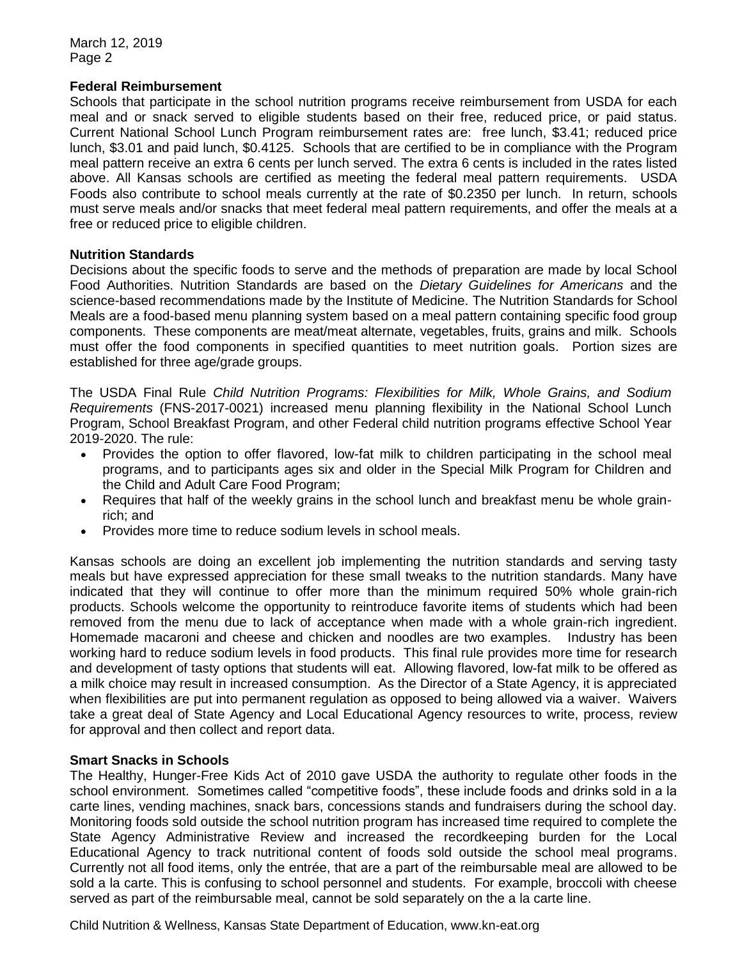March 12, 2019 Page 2

## **Federal Reimbursement**

Schools that participate in the school nutrition programs receive reimbursement from USDA for each meal and or snack served to eligible students based on their free, reduced price, or paid status. Current National School Lunch Program reimbursement rates are: free lunch, \$3.41; reduced price lunch, \$3.01 and paid lunch, \$0.4125. Schools that are certified to be in compliance with the Program meal pattern receive an extra 6 cents per lunch served. The extra 6 cents is included in the rates listed above. All Kansas schools are certified as meeting the federal meal pattern requirements. USDA Foods also contribute to school meals currently at the rate of \$0.2350 per lunch. In return, schools must serve meals and/or snacks that meet federal meal pattern requirements, and offer the meals at a free or reduced price to eligible children.

## **Nutrition Standards**

Decisions about the specific foods to serve and the methods of preparation are made by local School Food Authorities. Nutrition Standards are based on the *Dietary Guidelines for [Americans](http://www.cnpp.usda.gov/2015-2020-dietary-guidelines-americans)* and the science-based recommendations made by the Institute of Medicine. The Nutrition Standards for School Meals are a food-based menu planning system based on a meal pattern containing specific food group components. These components are meat/meat alternate, vegetables, fruits, grains and milk. Schools must offer the food components in specified quantities to meet nutrition goals. Portion sizes are established for three age/grade groups.

The USDA Final Rule *Child Nutrition Programs: Flexibilities for Milk, Whole Grains, and Sodium Requirements* (FNS-2017-0021) increased menu planning flexibility in the National School Lunch Program, School Breakfast Program, and other Federal child nutrition programs effective School Year 2019-2020. The rule:

- Provides the option to offer flavored, low-fat milk to children participating in the school meal programs, and to participants ages six and older in the Special Milk Program for Children and the Child and Adult Care Food Program;
- Requires that half of the weekly grains in the school lunch and breakfast menu be whole grainrich; and
- Provides more time to reduce sodium levels in school meals.

Kansas schools are doing an excellent job implementing the nutrition standards and serving tasty meals but have expressed appreciation for these small tweaks to the nutrition standards. Many have indicated that they will continue to offer more than the minimum required 50% whole grain-rich products. Schools welcome the opportunity to reintroduce favorite items of students which had been removed from the menu due to lack of acceptance when made with a whole grain-rich ingredient. Homemade macaroni and cheese and chicken and noodles are two examples. Industry has been working hard to reduce sodium levels in food products. This final rule provides more time for research and development of tasty options that students will eat. Allowing flavored, low-fat milk to be offered as a milk choice may result in increased consumption. As the Director of a State Agency, it is appreciated when flexibilities are put into permanent regulation as opposed to being allowed via a waiver. Waivers take a great deal of State Agency and Local Educational Agency resources to write, process, review for approval and then collect and report data.

## **Smart Snacks in Schools**

The Healthy, Hunger-Free Kids Act of 2010 gave USDA the authority to regulate other foods in the school environment. Sometimes called "competitive foods", these include foods and drinks sold in a la carte lines, vending machines, snack bars, concessions stands and fundraisers during the school day. Monitoring foods sold outside the school nutrition program has increased time required to complete the State Agency Administrative Review and increased the recordkeeping burden for the Local Educational Agency to track nutritional content of foods sold outside the school meal programs. Currently not all food items, only the entrée, that are a part of the reimbursable meal are allowed to be sold a la carte. This is confusing to school personnel and students. For example, broccoli with cheese served as part of the reimbursable meal, cannot be sold separately on the a la carte line.

Child Nutrition & Wellness, Kansas State Department of Education, www.kn-eat.org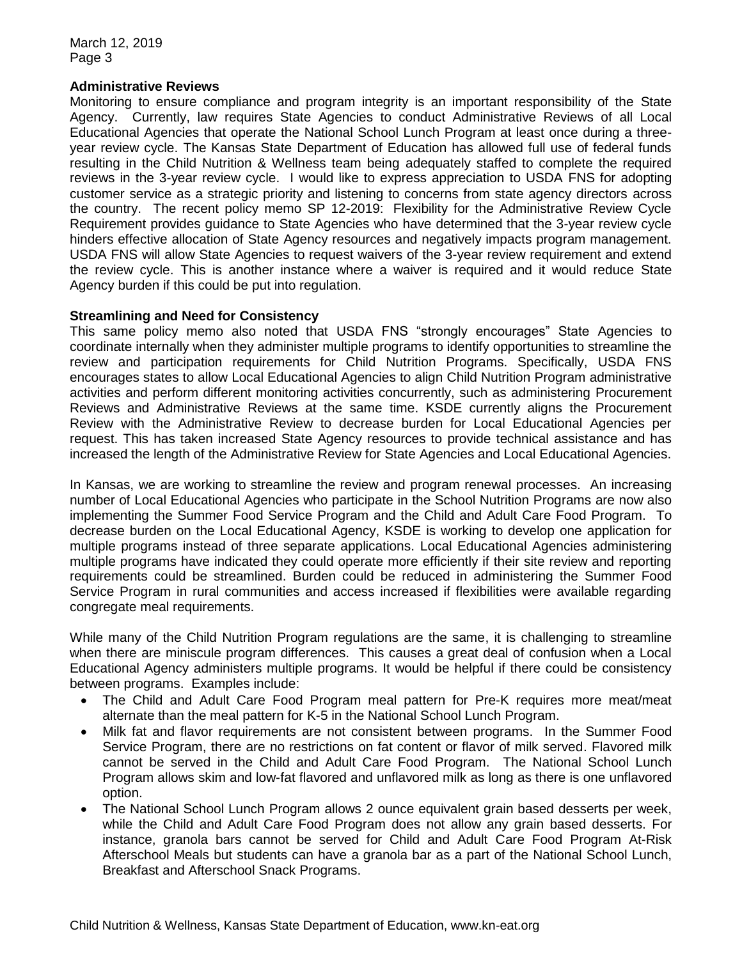March 12, 2019 Page 3

## **Administrative Reviews**

Monitoring to ensure compliance and program integrity is an important responsibility of the State Agency. Currently, law requires State Agencies to conduct Administrative Reviews of all Local Educational Agencies that operate the National School Lunch Program at least once during a threeyear review cycle. The Kansas State Department of Education has allowed full use of federal funds resulting in the Child Nutrition & Wellness team being adequately staffed to complete the required reviews in the 3-year review cycle. I would like to express appreciation to USDA FNS for adopting customer service as a strategic priority and listening to concerns from state agency directors across the country. The recent policy memo SP 12-2019: Flexibility for the Administrative Review Cycle Requirement provides guidance to State Agencies who have determined that the 3-year review cycle hinders effective allocation of State Agency resources and negatively impacts program management. USDA FNS will allow State Agencies to request waivers of the 3-year review requirement and extend the review cycle. This is another instance where a waiver is required and it would reduce State Agency burden if this could be put into regulation.

## **Streamlining and Need for Consistency**

This same policy memo also noted that USDA FNS "strongly encourages" State Agencies to coordinate internally when they administer multiple programs to identify opportunities to streamline the review and participation requirements for Child Nutrition Programs. Specifically, USDA FNS encourages states to allow Local Educational Agencies to align Child Nutrition Program administrative activities and perform different monitoring activities concurrently, such as administering Procurement Reviews and Administrative Reviews at the same time. KSDE currently aligns the Procurement Review with the Administrative Review to decrease burden for Local Educational Agencies per request. This has taken increased State Agency resources to provide technical assistance and has increased the length of the Administrative Review for State Agencies and Local Educational Agencies.

In Kansas, we are working to streamline the review and program renewal processes. An increasing number of Local Educational Agencies who participate in the School Nutrition Programs are now also implementing the Summer Food Service Program and the Child and Adult Care Food Program. To decrease burden on the Local Educational Agency, KSDE is working to develop one application for multiple programs instead of three separate applications. Local Educational Agencies administering multiple programs have indicated they could operate more efficiently if their site review and reporting requirements could be streamlined. Burden could be reduced in administering the Summer Food Service Program in rural communities and access increased if flexibilities were available regarding congregate meal requirements.

While many of the Child Nutrition Program regulations are the same, it is challenging to streamline when there are miniscule program differences. This causes a great deal of confusion when a Local Educational Agency administers multiple programs. It would be helpful if there could be consistency between programs. Examples include:

- The Child and Adult Care Food Program meal pattern for Pre-K requires more meat/meat alternate than the meal pattern for K-5 in the National School Lunch Program.
- Milk fat and flavor requirements are not consistent between programs. In the Summer Food Service Program, there are no restrictions on fat content or flavor of milk served. Flavored milk cannot be served in the Child and Adult Care Food Program. The National School Lunch Program allows skim and low-fat flavored and unflavored milk as long as there is one unflavored option.
- The National School Lunch Program allows 2 ounce equivalent grain based desserts per week, while the Child and Adult Care Food Program does not allow any grain based desserts. For instance, granola bars cannot be served for Child and Adult Care Food Program At-Risk Afterschool Meals but students can have a granola bar as a part of the National School Lunch, Breakfast and Afterschool Snack Programs.